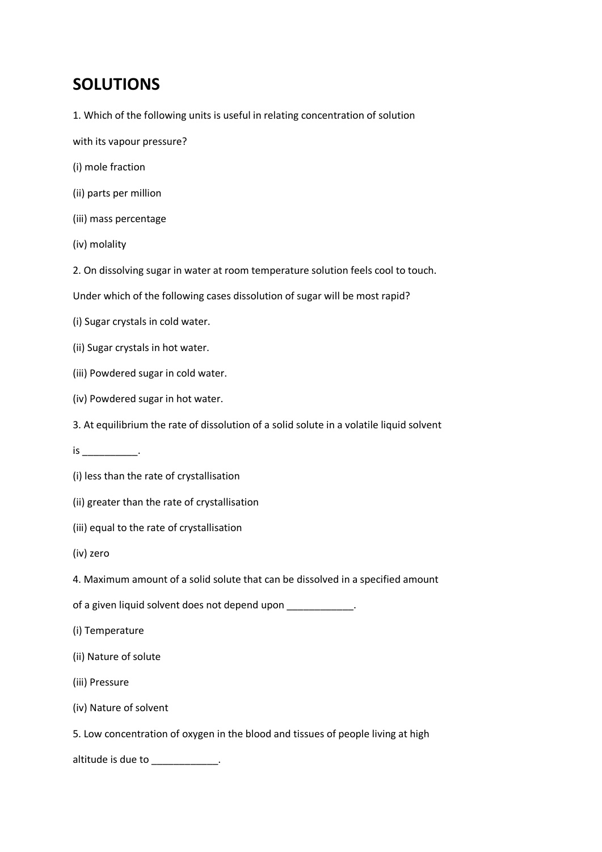# **SOLUTIONS**

- 1. Which of the following units is useful in relating concentration of solution
- with its vapour pressure?
- (i) mole fraction
- (ii) parts per million
- (iii) mass percentage
- (iv) molality
- 2. On dissolving sugar in water at room temperature solution feels cool to touch.
- Under which of the following cases dissolution of sugar will be most rapid?
- (i) Sugar crystals in cold water.
- (ii) Sugar crystals in hot water.
- (iii) Powdered sugar in cold water.
- (iv) Powdered sugar in hot water.
- 3. At equilibrium the rate of dissolution of a solid solute in a volatile liquid solvent
- $is$   $\qquad$
- (i) less than the rate of crystallisation
- (ii) greater than the rate of crystallisation
- (iii) equal to the rate of crystallisation
- (iv) zero
- 4. Maximum amount of a solid solute that can be dissolved in a specified amount
- of a given liquid solvent does not depend upon \_\_\_\_\_\_\_\_\_\_\_\_\_.
- (i) Temperature
- (ii) Nature of solute
- (iii) Pressure
- (iv) Nature of solvent
- 5. Low concentration of oxygen in the blood and tissues of people living at high
- altitude is due to \_\_\_\_\_\_\_\_\_\_\_\_.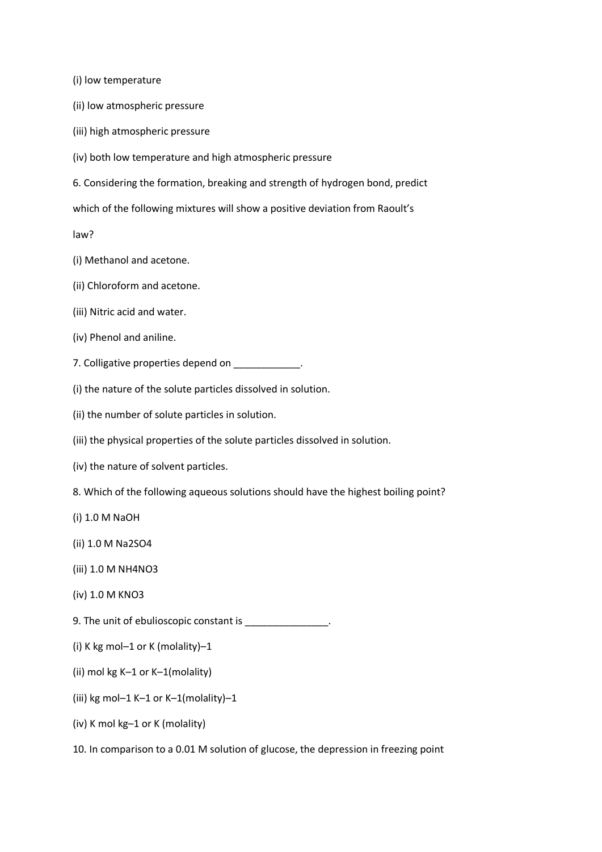(i) low temperature

- (ii) low atmospheric pressure
- (iii) high atmospheric pressure
- (iv) both low temperature and high atmospheric pressure
- 6. Considering the formation, breaking and strength of hydrogen bond, predict

which of the following mixtures will show a positive deviation from Raoult's

law?

- (i) Methanol and acetone.
- (ii) Chloroform and acetone.
- (iii) Nitric acid and water.
- (iv) Phenol and aniline.
- 7. Colligative properties depend on \_\_\_\_\_\_\_\_\_\_\_\_.
- (i) the nature of the solute particles dissolved in solution.
- (ii) the number of solute particles in solution.
- (iii) the physical properties of the solute particles dissolved in solution.
- (iv) the nature of solvent particles.
- 8. Which of the following aqueous solutions should have the highest boiling point?
- (i) 1.0 M NaOH
- (ii) 1.0 M Na2SO4
- (iii) 1.0 M NH4NO3
- (iv) 1.0 M KNO3
- 9. The unit of ebulioscopic constant is \_\_\_\_\_\_\_\_\_\_\_\_\_\_\_.
- (i) K kg mol–1 or K (molality)–1
- (ii) mol kg K–1 or K–1(molality)
- (iii) kg mol–1 K–1 or K–1(molality)–1
- (iv) K mol kg–1 or K (molality)
- 10. In comparison to a 0.01 M solution of glucose, the depression in freezing point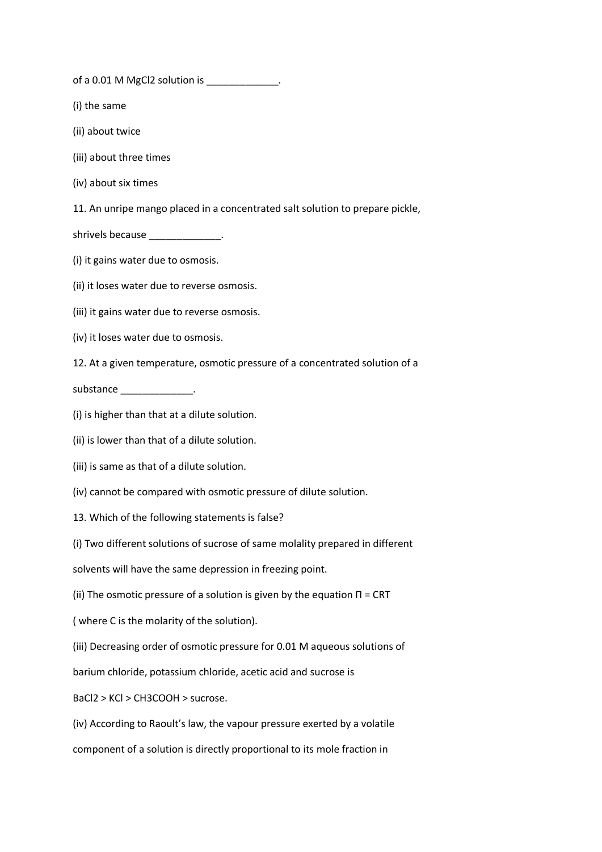of a 0.01 M MgCl2 solution is \_\_\_\_\_\_\_\_\_\_\_\_\_.

- (i) the same
- (ii) about twice
- (iii) about three times
- (iv) about six times
- 11. An unripe mango placed in a concentrated salt solution to prepare pickle,
- shrivels because \_\_\_\_\_\_\_\_\_\_\_\_\_\_.
- (i) it gains water due to osmosis.
- (ii) it loses water due to reverse osmosis.
- (iii) it gains water due to reverse osmosis.
- (iv) it loses water due to osmosis.
- 12. At a given temperature, osmotic pressure of a concentrated solution of a

substance \_\_\_\_\_\_\_\_\_\_\_\_\_\_\_\_\_\_.

- (i) is higher than that at a dilute solution.
- (ii) is lower than that of a dilute solution.
- (iii) is same as that of a dilute solution.
- (iv) cannot be compared with osmotic pressure of dilute solution.
- 13. Which of the following statements is false?
- (i) Two different solutions of sucrose of same molality prepared in different
- solvents will have the same depression in freezing point.
- (ii) The osmotic pressure of a solution is given by the equation  $\Pi$  = CRT
- ( where C is the molarity of the solution).
- (iii) Decreasing order of osmotic pressure for 0.01 M aqueous solutions of
- barium chloride, potassium chloride, acetic acid and sucrose is
- BaCl2 > KCl > CH3COOH > sucrose.
- (iv) According to Raoult's law, the vapour pressure exerted by a volatile
- component of a solution is directly proportional to its mole fraction in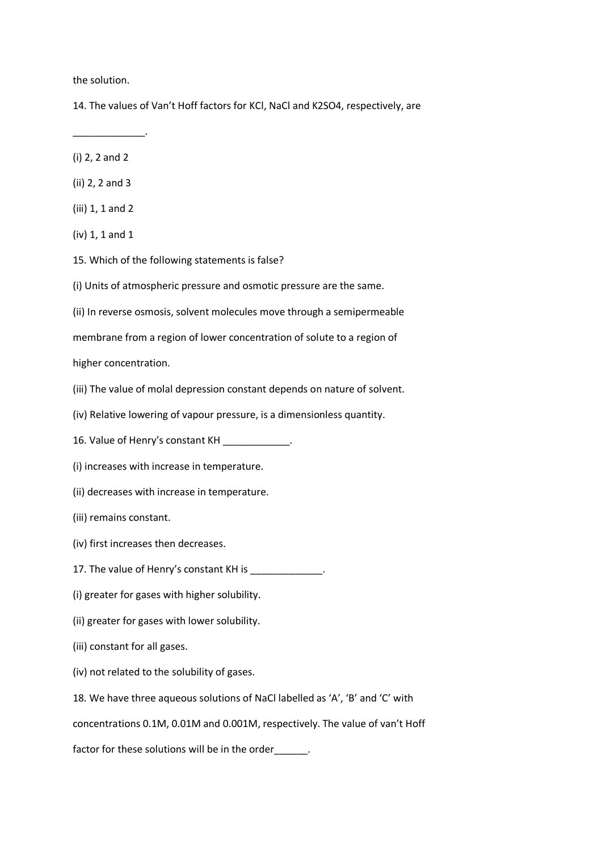the solution.

14. The values of Van't Hoff factors for KCl, NaCl and K2SO4, respectively, are

(i) 2, 2 and 2

\_\_\_\_\_\_\_\_\_\_\_\_\_.

- (ii) 2, 2 and 3
- (iii) 1, 1 and 2
- (iv) 1, 1 and 1
- 15. Which of the following statements is false?
- (i) Units of atmospheric pressure and osmotic pressure are the same.
- (ii) In reverse osmosis, solvent molecules move through a semipermeable
- membrane from a region of lower concentration of solute to a region of

higher concentration.

- (iii) The value of molal depression constant depends on nature of solvent.
- (iv) Relative lowering of vapour pressure, is a dimensionless quantity.
- 16. Value of Henry's constant KH \_\_\_\_\_\_\_\_\_\_\_\_.
- (i) increases with increase in temperature.
- (ii) decreases with increase in temperature.
- (iii) remains constant.
- (iv) first increases then decreases.
- 17. The value of Henry's constant KH is \_\_\_\_\_\_\_\_\_\_\_\_\_\_.
- (i) greater for gases with higher solubility.
- (ii) greater for gases with lower solubility.
- (iii) constant for all gases.
- (iv) not related to the solubility of gases.
- 18. We have three aqueous solutions of NaCl labelled as 'A', 'B' and 'C' with

concentrations 0.1M, 0.01M and 0.001M, respectively. The value of van't Hoff

factor for these solutions will be in the order\_\_\_\_\_\_.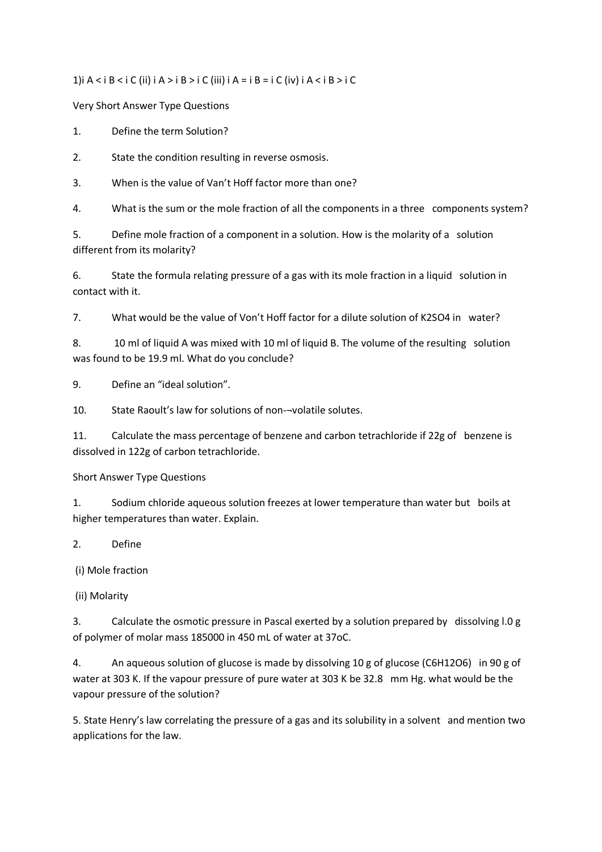1)i A < i B < i C (ii) i A > i B > i C (iii) i A = i B = i C (iv) i A < i B > i C

Very Short Answer Type Questions

1. Define the term Solution?

2. State the condition resulting in reverse osmosis.

3. When is the value of Van't Hoff factor more than one?

4. What is the sum or the mole fraction of all the components in a three components system?

5. Define mole fraction of a component in a solution. How is the molarity of a solution different from its molarity?

6. State the formula relating pressure of a gas with its mole fraction in a liquid solution in contact with it.

7. What would be the value of Von't Hoff factor for a dilute solution of K2SO4 in water?

8. 10 ml of liquid A was mixed with 10 ml of liquid B. The volume of the resulting solution was found to be 19.9 ml. What do you conclude?

9. Define an "ideal solution".

10. State Raoult's law for solutions of non-¬volatile solutes.

11. Calculate the mass percentage of benzene and carbon tetrachloride if 22g of benzene is dissolved in 122g of carbon tetrachloride.

Short Answer Type Questions

1. Sodium chloride aqueous solution freezes at lower temperature than water but boils at higher temperatures than water. Explain.

2. Define

(i) Mole fraction

(ii) Molarity

3. Calculate the osmotic pressure in Pascal exerted by a solution prepared by dissolving l.0 g of polymer of molar mass 185000 in 450 mL of water at 37oC.

4. An aqueous solution of glucose is made by dissolving 10 g of glucose (C6H12O6) in 90 g of water at 303 K. If the vapour pressure of pure water at 303 K be 32.8 mm Hg. what would be the vapour pressure of the solution?

5. State Henry's law correlating the pressure of a gas and its solubility in a solvent and mention two applications for the law.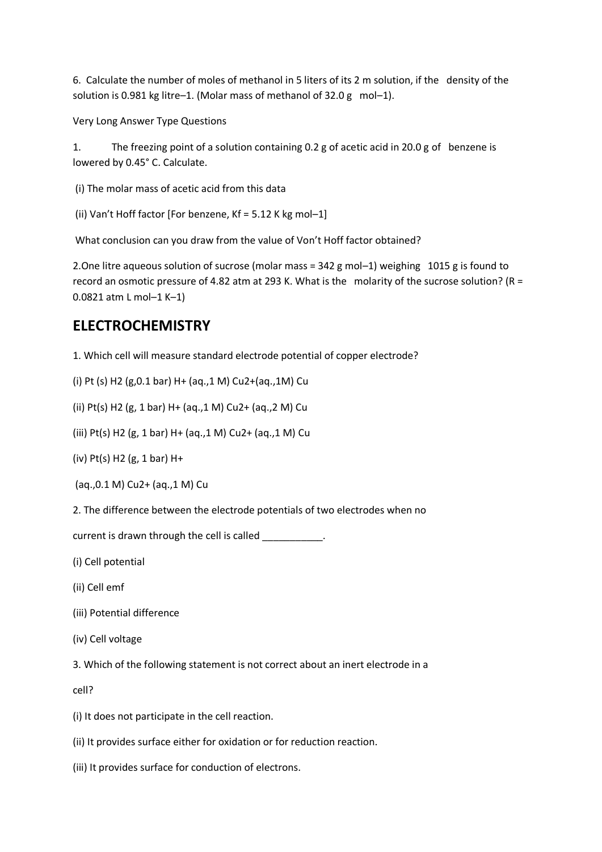6. Calculate the number of moles of methanol in 5 liters of its 2 m solution, if the density of the solution is 0.981 kg litre–1. (Molar mass of methanol of 32.0 g mol–1).

Very Long Answer Type Questions

1. The freezing point of a solution containing 0.2 g of acetic acid in 20.0 g of benzene is lowered by 0.45° C. Calculate.

(i) The molar mass of acetic acid from this data

(ii) Van't Hoff factor [For benzene, Kf = 5.12 K kg mol–1]

What conclusion can you draw from the value of Von't Hoff factor obtained?

2.One litre aqueous solution of sucrose (molar mass = 342 g mol–1) weighing 1015 g is found to record an osmotic pressure of 4.82 atm at 293 K. What is the molarity of the sucrose solution? (R = 0.0821 atm L mol–1 K–1)

## **ELECTROCHEMISTRY**

1. Which cell will measure standard electrode potential of copper electrode?

(i) Pt (s) H2 (g,0.1 bar) H+ (aq.,1 M) Cu2+(aq.,1M) Cu

(ii) Pt(s) H2 (g, 1 bar) H+ (aq.,1 M) Cu2+ (aq.,2 M) Cu

(iii) Pt(s) H2 (g, 1 bar) H+ (aq.,1 M) Cu2+ (aq.,1 M) Cu

(iv) Pt(s) H2 (g, 1 bar) H+

(aq.,0.1 M) Cu2+ (aq.,1 M) Cu

2. The difference between the electrode potentials of two electrodes when no

current is drawn through the cell is called \_\_\_\_\_\_\_\_\_\_.

(i) Cell potential

- (ii) Cell emf
- (iii) Potential difference
- (iv) Cell voltage

3. Which of the following statement is not correct about an inert electrode in a

cell?

(i) It does not participate in the cell reaction.

- (ii) It provides surface either for oxidation or for reduction reaction.
- (iii) It provides surface for conduction of electrons.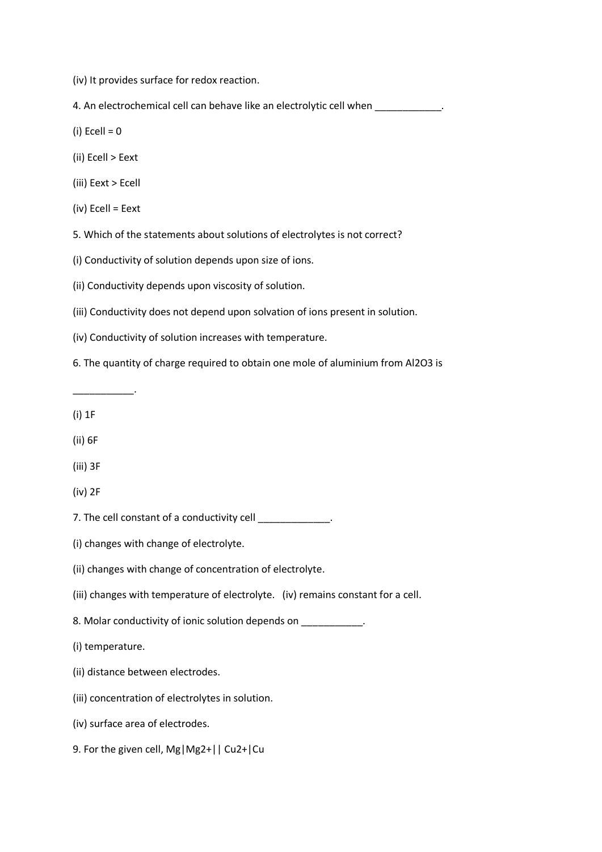(iv) It provides surface for redox reaction.

4. An electrochemical cell can behave like an electrolytic cell when  $\blacksquare$ 

- $(i)$  Ecell = 0
- (ii) Ecell > Eext
- (iii) Eext > Ecell
- (iv) Ecell = Eext

5. Which of the statements about solutions of electrolytes is not correct?

(i) Conductivity of solution depends upon size of ions.

(ii) Conductivity depends upon viscosity of solution.

(iii) Conductivity does not depend upon solvation of ions present in solution.

(iv) Conductivity of solution increases with temperature.

6. The quantity of charge required to obtain one mole of aluminium from Al2O3 is

(i) 1F

\_\_\_\_\_\_\_\_\_\_\_.

- (ii) 6F
- (iii) 3F
- (iv) 2F

7. The cell constant of a conductivity cell  $\blacksquare$ 

(i) changes with change of electrolyte.

(ii) changes with change of concentration of electrolyte.

- (iii) changes with temperature of electrolyte. (iv) remains constant for a cell.
- 8. Molar conductivity of ionic solution depends on \_\_\_\_\_\_\_\_\_\_\_.

(i) temperature.

- (ii) distance between electrodes.
- (iii) concentration of electrolytes in solution.

(iv) surface area of electrodes.

9. For the given cell, Mg|Mg2+|| Cu2+|Cu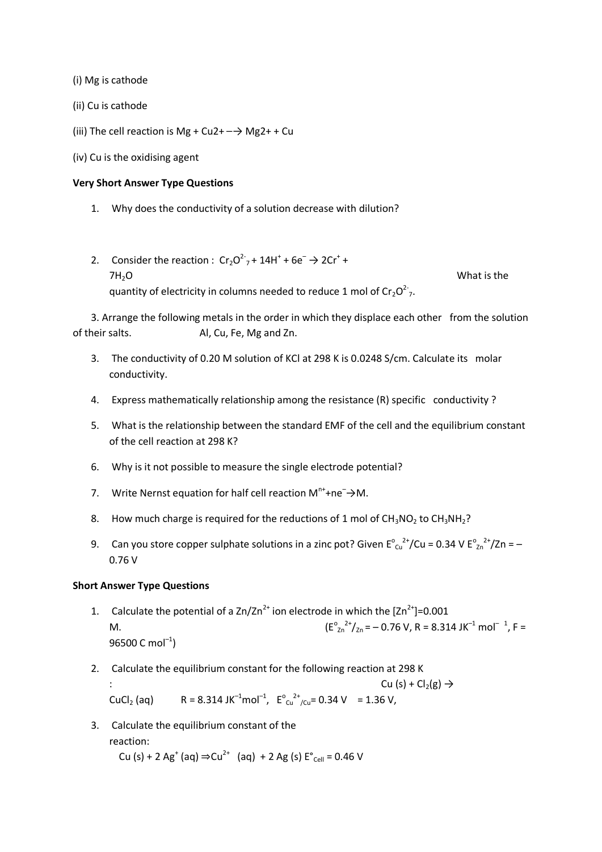(i) Mg is cathode

- (ii) Cu is cathode
- (iii) The cell reaction is Mg + Cu2+  $-\rightarrow$  Mg2+ + Cu
- (iv) Cu is the oxidising agent

#### **Very Short Answer Type Questions**

- 1. Why does the conductivity of a solution decrease with dilution?
- 2. Consider the reaction :  $Cr_2O^2$ <sub>7</sub> + 14H<sup>+</sup> + 6e<sup>-</sup>  $\rightarrow$  2Cr<sup>+</sup> +  $7H<sub>2</sub>O$  What is the quantity of electricity in columns needed to reduce 1 mol of  $Cr_2O^2$ ,

3. Arrange the following metals in the order in which they displace each other from the solution of their salts. Al, Cu, Fe, Mg and Zn.

- 3. The conductivity of 0.20 M solution of KCl at 298 K is 0.0248 S/cm. Calculate its molar conductivity.
- 4. Express mathematically relationship among the resistance (R) specific conductivity ?
- 5. What is the relationship between the standard EMF of the cell and the equilibrium constant of the cell reaction at 298 K?
- 6. Why is it not possible to measure the single electrode potential?
- 7. Write Nernst equation for half cell reaction  $M^{n+}$ +ne<sup>-</sup> $\rightarrow$ M.
- 8. How much charge is required for the reductions of 1 mol of  $CH_3NO_2$  to  $CH_3NH_2$ ?
- 9. Can you store copper sulphate solutions in a zinc pot? Given  $E^{\circ}{}_{Cu}^{2+}/Cu = 0.34$  V  $E^{\circ}{}_{Zn}^{2+}/Zn = -$ 0.76 V

#### **Short Answer Type Questions**

- 1. Calculate the potential of a  $\text{Zn}/\text{Zn}^{2+}$  ion electrode in which the  $[\text{Zn}^{2+}]$ =0.001 M.  $(E^{\circ})$  $J_{\text{Zn}}^{2+}/_{\text{Zn}}$  =  $-$  0.76 V, R = 8.314 JK<sup>-1</sup> mol<sup>-1</sup>, F =  $96500$  C mol $^{-1}$ )
- 2. Calculate the equilibrium constant for the following reaction at 298 K

Cu (s) + Cl<sub>2</sub>(g)  $\rightarrow$ CuCl<sub>2</sub> (aq)  $R = 8.314 \text{ J} \text{K}^{-1} \text{mol}^{-1}$ ,  $E_{\text{Cu}}^{\text{o}} \text{m}^2/\text{Cu} = 0.34 \text{ V} = 1.36 \text{ V}$ ,

3. Calculate the equilibrium constant of the reaction: Cu (s) + 2 Ag<sup>+</sup> (aq) ⇒Cu<sup>2+</sup> (aq) + 2 Ag (s)  $E^{\circ}$ <sub>Cell</sub> = 0.46 V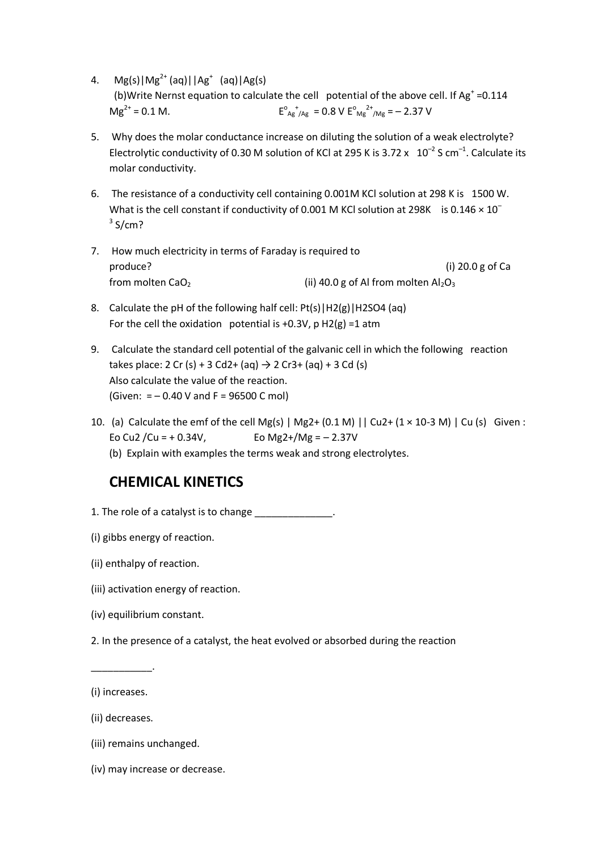4.  $Mg(s)|Mg^{2+}(aq)||Ag^{+}(aq)|Ag(s)$ (b)Write Nernst equation to calculate the cell potential of the above cell. If  $Ag<sup>+</sup> = 0.114$  $Mg^{2+} = 0.1 M$ .  $_{\text{Ag}}^{\text{o}}$  +  $_{\text{Ag}}$  = 0.8 V  $\text{E}_{\text{Mg}}^{\text{o}}$   $_{\text{Mg}}^{2+}$  = - 2.37 V

- 5. Why does the molar conductance increase on diluting the solution of a weak electrolyte? Electrolytic conductivity of 0.30 M solution of KCl at 295 K is 3.72  $\times$  10<sup>-2</sup> S cm<sup>-1</sup>. Calculate its molar conductivity.
- 6. The resistance of a conductivity cell containing 0.001M KCl solution at 298 K is 1500 W. What is the cell constant if conductivity of 0.001 M KCl solution at 298K is  $0.146 \times 10^{-7}$  $3$  S/cm?
- 7. How much electricity in terms of Faraday is required to produce? (i) 20.0 g of Ca from molten  $CaO<sub>2</sub>$  (ii) 40.0 g of Al from molten  $Al<sub>2</sub>O<sub>3</sub>$
- 8. Calculate the pH of the following half cell: Pt(s) | H2(g) | H2SO4 (aq) For the cell the oxidation potential is +0.3V,  $p$  H2(g) =1 atm
- 9. Calculate the standard cell potential of the galvanic cell in which the following reaction takes place: 2 Cr (s) + 3 Cd2+ (aq)  $\rightarrow$  2 Cr3+ (aq) + 3 Cd (s) Also calculate the value of the reaction. (Given:  $= -0.40$  V and F = 96500 C mol)
- 10. (a) Calculate the emf of the cell Mg(s)  $|$  Mg2+ (0.1 M)  $|$  Cu2+ (1 × 10-3 M)  $|$  Cu (s) Given : Eo Cu2 /Cu = + 0.34V, Eo Mg2+/Mg =  $- 2.37V$ 
	- (b) Explain with examples the terms weak and strong electrolytes.

### **CHEMICAL KINETICS**

- 1. The role of a catalyst is to change \_\_\_\_\_\_\_\_\_\_\_\_\_\_.
- (i) gibbs energy of reaction.
- (ii) enthalpy of reaction.
- (iii) activation energy of reaction.
- (iv) equilibrium constant.
- 2. In the presence of a catalyst, the heat evolved or absorbed during the reaction

\_\_\_\_\_\_\_\_\_\_\_.

- (ii) decreases.
- (iii) remains unchanged.
- (iv) may increase or decrease.

<sup>(</sup>i) increases.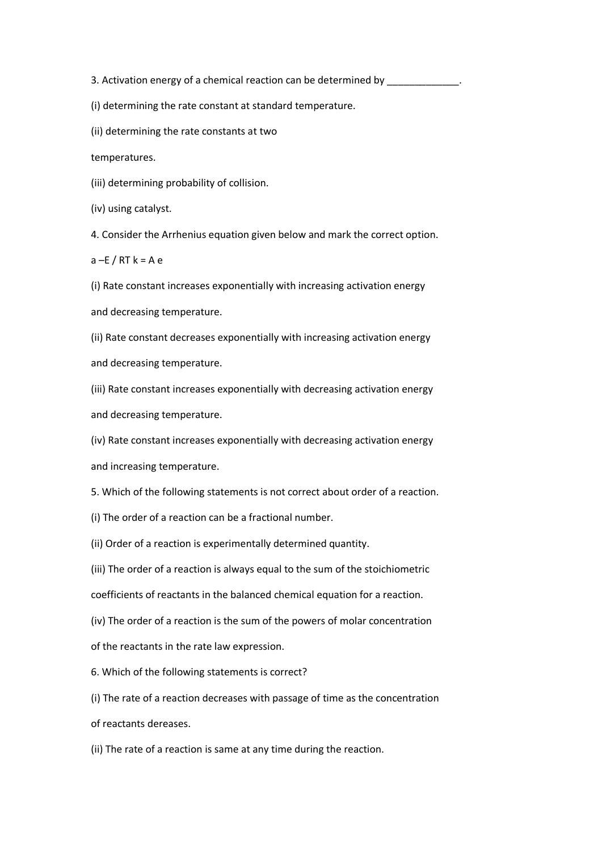3. Activation energy of a chemical reaction can be determined by \_\_\_\_\_\_\_\_\_\_\_\_\_.

(i) determining the rate constant at standard temperature.

(ii) determining the rate constants at two

temperatures.

(iii) determining probability of collision.

(iv) using catalyst.

4. Consider the Arrhenius equation given below and mark the correct option.

 $a - E / RT k = A e$ 

(i) Rate constant increases exponentially with increasing activation energy and decreasing temperature.

(ii) Rate constant decreases exponentially with increasing activation energy and decreasing temperature.

(iii) Rate constant increases exponentially with decreasing activation energy and decreasing temperature.

(iv) Rate constant increases exponentially with decreasing activation energy and increasing temperature.

5. Which of the following statements is not correct about order of a reaction.

(i) The order of a reaction can be a fractional number.

(ii) Order of a reaction is experimentally determined quantity.

(iii) The order of a reaction is always equal to the sum of the stoichiometric

coefficients of reactants in the balanced chemical equation for a reaction.

(iv) The order of a reaction is the sum of the powers of molar concentration

of the reactants in the rate law expression.

6. Which of the following statements is correct?

(i) The rate of a reaction decreases with passage of time as the concentration of reactants dereases.

(ii) The rate of a reaction is same at any time during the reaction.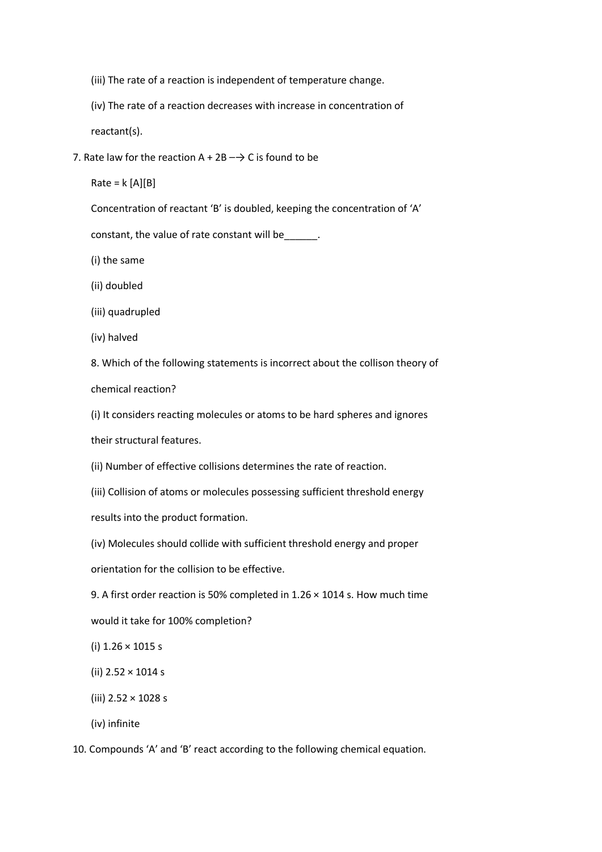- (iii) The rate of a reaction is independent of temperature change.
- (iv) The rate of a reaction decreases with increase in concentration of

reactant(s).

7. Rate law for the reaction  $A + 2B \rightarrow C$  is found to be

 $Rate = k [A][B]$ 

Concentration of reactant 'B' is doubled, keeping the concentration of 'A'

constant, the value of rate constant will be\_\_\_\_\_\_.

(i) the same

(ii) doubled

(iii) quadrupled

(iv) halved

8. Which of the following statements is incorrect about the collison theory of chemical reaction?

(i) It considers reacting molecules or atoms to be hard spheres and ignores

their structural features.

(ii) Number of effective collisions determines the rate of reaction.

(iii) Collision of atoms or molecules possessing sufficient threshold energy

results into the product formation.

(iv) Molecules should collide with sufficient threshold energy and proper

orientation for the collision to be effective.

9. A first order reaction is 50% completed in 1.26 × 1014 s. How much time

would it take for 100% completion?

(i) 1.26 × 1015 s

- (ii) 2.52 × 1014 s
- (iii) 2.52 × 1028 s

(iv) infinite

10. Compounds 'A' and 'B' react according to the following chemical equation.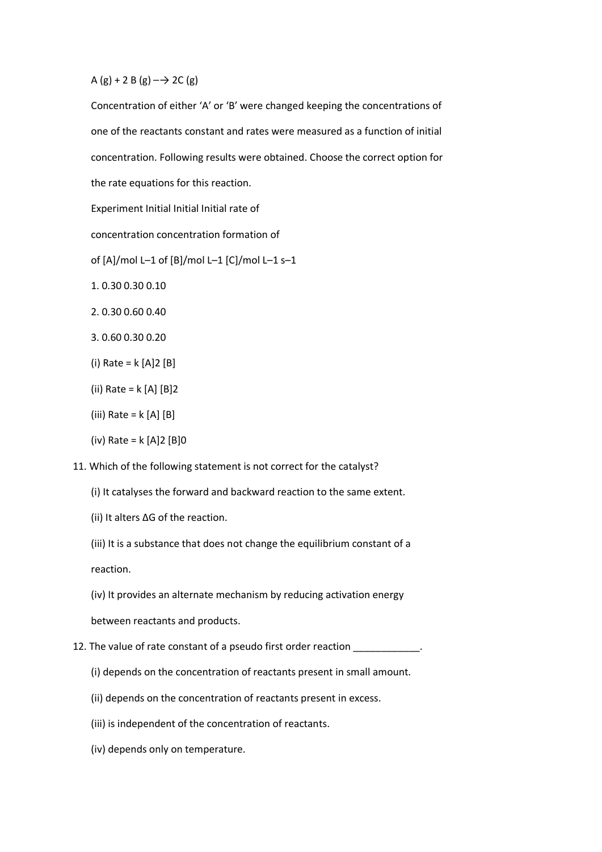A (g) + 2 B (g)  $\rightarrow$  2C (g)

Concentration of either 'A' or 'B' were changed keeping the concentrations of one of the reactants constant and rates were measured as a function of initial concentration. Following results were obtained. Choose the correct option for the rate equations for this reaction.

Experiment Initial Initial Initial rate of

concentration concentration formation of

of [A]/mol L–1 of [B]/mol L–1 [C]/mol L–1 s–1

- 1. 0.30 0.30 0.10
- 2. 0.30 0.60 0.40
- 3. 0.60 0.30 0.20
- (i) Rate = k [A]2 [B]
- (ii) Rate = k [A] [B]2
- (iii) Rate =  $k$  [A] [B]
- (iv) Rate = k [A]2 [B]0

11. Which of the following statement is not correct for the catalyst?

- (i) It catalyses the forward and backward reaction to the same extent.
- (ii) It alters ΔG of the reaction.
- (iii) It is a substance that does not change the equilibrium constant of a

reaction.

(iv) It provides an alternate mechanism by reducing activation energy

between reactants and products.

- 12. The value of rate constant of a pseudo first order reaction \_\_\_\_\_\_\_\_\_\_\_\_\_\_\_
	- (i) depends on the concentration of reactants present in small amount.
	- (ii) depends on the concentration of reactants present in excess.
	- (iii) is independent of the concentration of reactants.
	- (iv) depends only on temperature.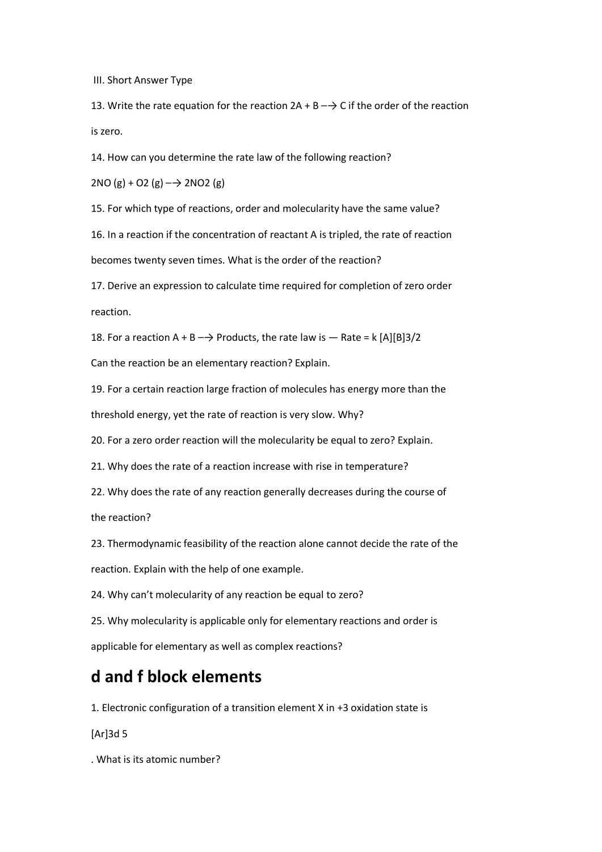III. Short Answer Type

13. Write the rate equation for the reaction  $2A + B \rightarrow C$  if the order of the reaction is zero.

14. How can you determine the rate law of the following reaction?

 $2NO (g) + O2 (g)$   $\rightarrow$  2NO2 (g)

15. For which type of reactions, order and molecularity have the same value?

16. In a reaction if the concentration of reactant A is tripled, the rate of reaction becomes twenty seven times. What is the order of the reaction?

17. Derive an expression to calculate time required for completion of zero order reaction.

18. For a reaction A + B  $\rightarrow$  Products, the rate law is  $-$  Rate = k [A][B]3/2

Can the reaction be an elementary reaction? Explain.

19. For a certain reaction large fraction of molecules has energy more than the threshold energy, yet the rate of reaction is very slow. Why?

20. For a zero order reaction will the molecularity be equal to zero? Explain.

21. Why does the rate of a reaction increase with rise in temperature?

22. Why does the rate of any reaction generally decreases during the course of

the reaction?

23. Thermodynamic feasibility of the reaction alone cannot decide the rate of the

reaction. Explain with the help of one example.

24. Why can't molecularity of any reaction be equal to zero?

25. Why molecularity is applicable only for elementary reactions and order is applicable for elementary as well as complex reactions?

### **d and f block elements**

1. Electronic configuration of a transition element X in +3 oxidation state is

[Ar]3d 5

. What is its atomic number?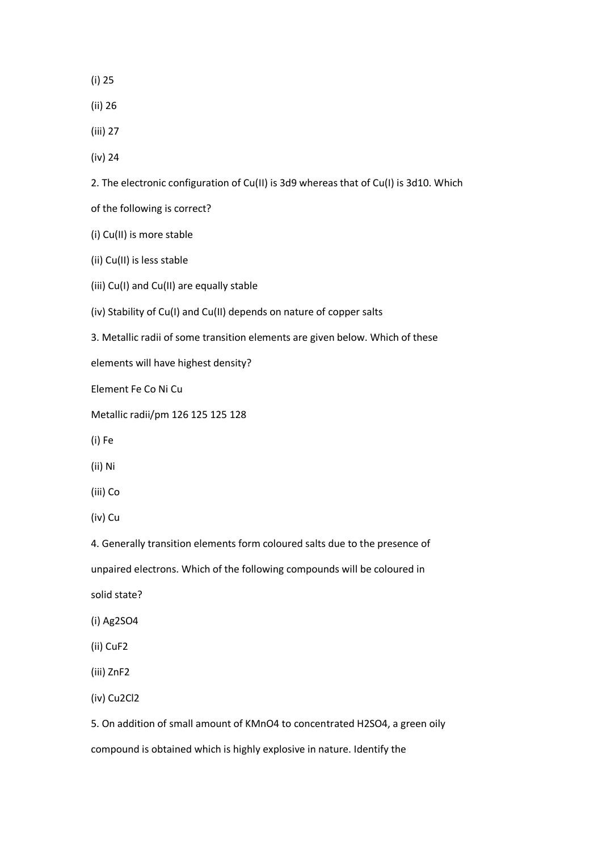(i) 25

- (ii) 26
- (iii) 27

(iv) 24

2. The electronic configuration of Cu(II) is 3d9 whereas that of Cu(I) is 3d10. Which

of the following is correct?

(i) Cu(II) is more stable

(ii) Cu(II) is less stable

(iii) Cu(I) and Cu(II) are equally stable

(iv) Stability of Cu(I) and Cu(II) depends on nature of copper salts

3. Metallic radii of some transition elements are given below. Which of these

elements will have highest density?

Element Fe Co Ni Cu

Metallic radii/pm 126 125 125 128

(i) Fe

(ii) Ni

(iii) Co

(iv) Cu

4. Generally transition elements form coloured salts due to the presence of

unpaired electrons. Which of the following compounds will be coloured in

solid state?

(i) Ag2SO4

(ii) CuF2

(iii) ZnF2

(iv) Cu2Cl2

5. On addition of small amount of KMnO4 to concentrated H2SO4, a green oily compound is obtained which is highly explosive in nature. Identify the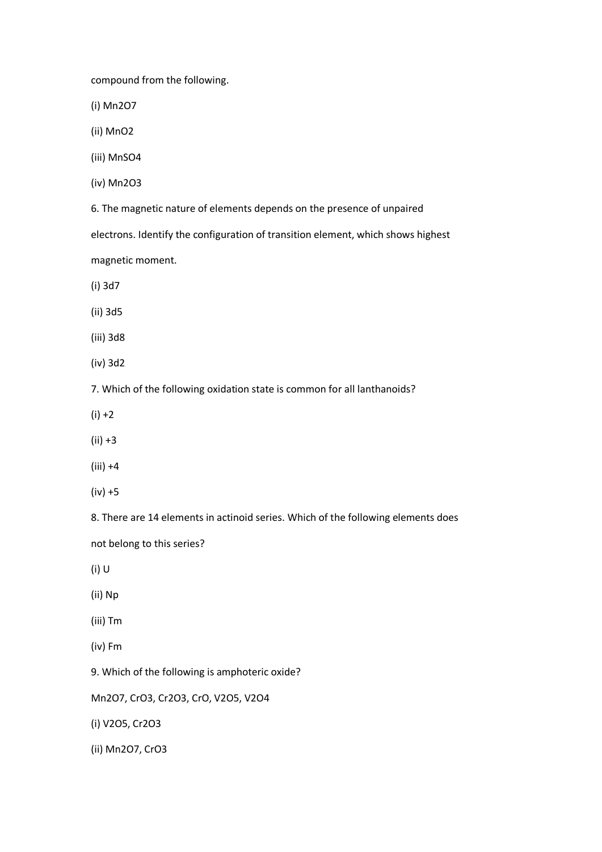compound from the following.

(i) Mn2O7

(ii) MnO2

(iii) MnSO4

(iv) Mn2O3

6. The magnetic nature of elements depends on the presence of unpaired

electrons. Identify the configuration of transition element, which shows highest

magnetic moment.

(i) 3d7

(ii) 3d5

(iii) 3d8

(iv) 3d2

7. Which of the following oxidation state is common for all lanthanoids?

 $(i) + 2$ 

- (ii) +3
- $(iii) +4$

(iv) +5

8. There are 14 elements in actinoid series. Which of the following elements does

not belong to this series?

(i) U

(ii) Np

(iii) Tm

(iv) Fm

9. Which of the following is amphoteric oxide?

Mn2O7, CrO3, Cr2O3, CrO, V2O5, V2O4

(i) V2O5, Cr2O3

(ii) Mn2O7, CrO3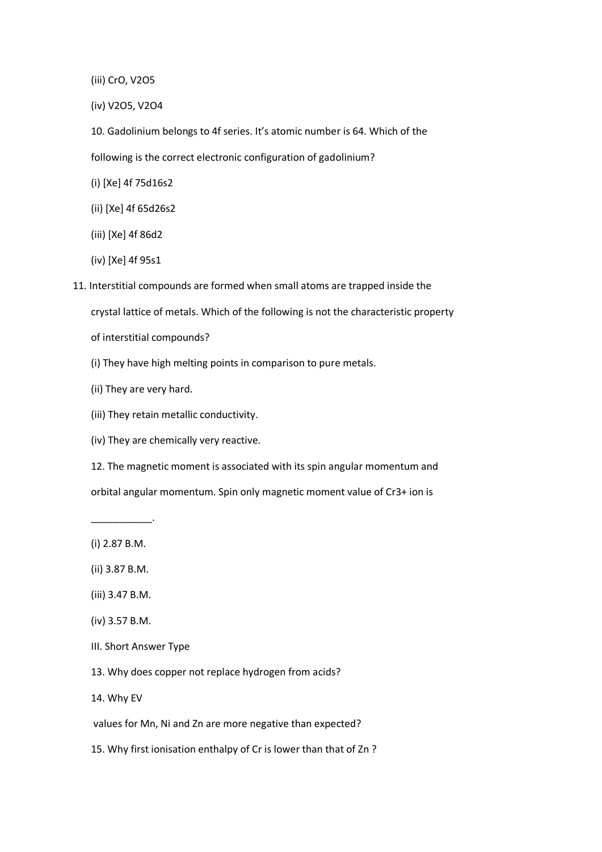- (iii) CrO, V2O5
- (iv) V2O5, V2O4
- 10. Gadolinium belongs to 4f series. It's atomic number is 64. Which of the

following is the correct electronic configuration of gadolinium?

- (i) [Xe] 4f 75d16s2
- (ii) [Xe] 4f 65d26s2
- (iii) [Xe] 4f 86d2
- (iv) [Xe] 4f 95s1
- 11. Interstitial compounds are formed when small atoms are trapped inside the crystal lattice of metals. Which of the following is not the characteristic property
	- of interstitial compounds?
	- (i) They have high melting points in comparison to pure metals.
	- (ii) They are very hard.
	- (iii) They retain metallic conductivity.
	- (iv) They are chemically very reactive.
	- 12. The magnetic moment is associated with its spin angular momentum and orbital angular momentum. Spin only magnetic moment value of Cr3+ ion is
	- (i) 2.87 B.M.

\_\_\_\_\_\_\_\_\_\_\_.

- (ii) 3.87 B.M.
- (iii) 3.47 B.M.
- (iv) 3.57 B.M.
- III. Short Answer Type
- 13. Why does copper not replace hydrogen from acids?
- 14. Why EV

values for Mn, Ni and Zn are more negative than expected?

15. Why first ionisation enthalpy of Cr is lower than that of Zn ?